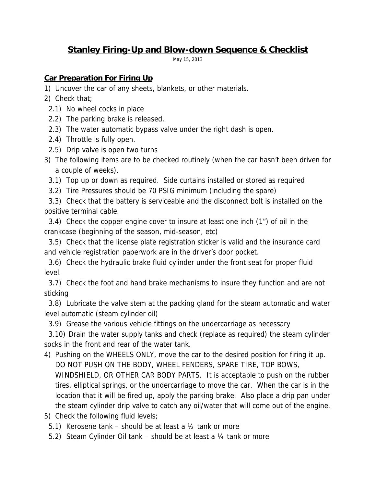# **Stanley Firing-Up and Blow-down Sequence & Checklist**

May 15, 2013

## **Car Preparation For Firing Up**

- 1) Uncover the car of any sheets, blankets, or other materials.
- 2) Check that;
	- 2.1) No wheel cocks in place
	- 2.2) The parking brake is released.
	- 2.3) The water automatic bypass valve under the right dash is open.
	- 2.4) Throttle is fully open.
	- 2.5) Drip valve is open two turns
- 3) The following items are to be checked routinely (when the car hasn't been driven for a couple of weeks).
	- 3.1) Top up or down as required. Side curtains installed or stored as required
	- 3.2) Tire Pressures should be 70 PSIG minimum (including the spare)

3.3) Check that the battery is serviceable and the disconnect bolt is installed on the positive terminal cable.

3.4) Check the copper engine cover to insure at least one inch (1") of oil in the crankcase (beginning of the season, mid-season, etc)

3.5) Check that the license plate registration sticker is valid and the insurance card and vehicle registration paperwork are in the driver's door pocket.

3.6) Check the hydraulic brake fluid cylinder under the front seat for proper fluid level.

3.7) Check the foot and hand brake mechanisms to insure they function and are not sticking

3.8) Lubricate the valve stem at the packing gland for the steam automatic and water level automatic (steam cylinder oil)

3.9) Grease the various vehicle fittings on the undercarriage as necessary

3.10) Drain the water supply tanks and check (replace as required) the steam cylinder socks in the front and rear of the water tank.

- 4) Pushing on the WHEELS ONLY, move the car to the desired position for firing it up. DO NOT PUSH ON THE BODY, WHEEL FENDERS, SPARE TIRE, TOP BOWS, WINDSHIELD, OR OTHER CAR BODY PARTS. It is acceptable to push on the rubber tires, elliptical springs, or the undercarriage to move the car. When the car is in the location that it will be fired up, apply the parking brake. Also place a drip pan under the steam cylinder drip valve to catch any oil/water that will come out of the engine.
- 5) Check the following fluid levels;
	- 5.1) Kerosene tank should be at least a ½ tank or more
	- 5.2) Steam Cylinder Oil tank should be at least a ¼ tank or more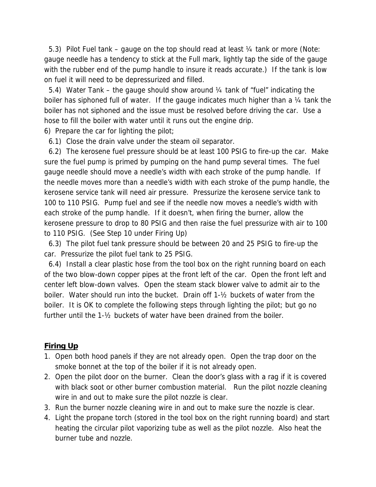5.3) Pilot Fuel tank – gauge on the top should read at least ¼ tank or more (Note: gauge needle has a tendency to stick at the Full mark, lightly tap the side of the gauge with the rubber end of the pump handle to insure it reads accurate.) If the tank is low on fuel it will need to be depressurized and filled.

5.4) Water Tank – the gauge should show around  $\frac{1}{4}$  tank of "fuel" indicating the boiler has siphoned full of water. If the gauge indicates much higher than a 1/4 tank the boiler has not siphoned and the issue must be resolved before driving the car. Use a hose to fill the boiler with water until it runs out the engine drip.

6) Prepare the car for lighting the pilot;

6.1) Close the drain valve under the steam oil separator.

6.2) The kerosene fuel pressure should be at least 100 PSIG to fire-up the car. Make sure the fuel pump is primed by pumping on the hand pump several times. The fuel gauge needle should move a needle's width with each stroke of the pump handle. If the needle moves more than a needle's width with each stroke of the pump handle, the kerosene service tank will need air pressure. Pressurize the kerosene service tank to 100 to 110 PSIG. Pump fuel and see if the needle now moves a needle's width with each stroke of the pump handle. If it doesn't, when firing the burner, allow the kerosene pressure to drop to 80 PSIG and then raise the fuel pressurize with air to 100 to 110 PSIG. (See Step 10 under Firing Up)

6.3) The pilot fuel tank pressure should be between 20 and 25 PSIG to fire-up the car. Pressurize the pilot fuel tank to 25 PSIG.

6.4) Install a clear plastic hose from the tool box on the right running board on each of the two blow-down copper pipes at the front left of the car. Open the front left and center left blow-down valves. Open the steam stack blower valve to admit air to the boiler. Water should run into the bucket. Drain off 1-½ buckets of water from the boiler. It is OK to complete the following steps through lighting the pilot; but go no further until the 1-½ buckets of water have been drained from the boiler.

#### **Firing Up**

- 1. Open both hood panels if they are not already open. Open the trap door on the smoke bonnet at the top of the boiler if it is not already open.
- 2. Open the pilot door on the burner. Clean the door's glass with a rag if it is covered with black soot or other burner combustion material. Run the pilot nozzle cleaning wire in and out to make sure the pilot nozzle is clear.
- 3. Run the burner nozzle cleaning wire in and out to make sure the nozzle is clear.
- 4. Light the propane torch (stored in the tool box on the right running board) and start heating the circular pilot vaporizing tube as well as the pilot nozzle. Also heat the burner tube and nozzle.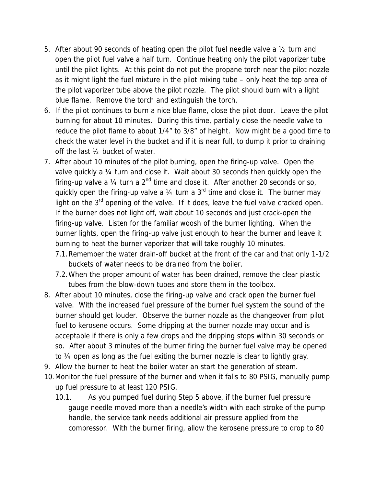- 5. After about 90 seconds of heating open the pilot fuel needle valve a ½ turn and open the pilot fuel valve a half turn. Continue heating only the pilot vaporizer tube until the pilot lights. At this point do not put the propane torch near the pilot nozzle as it might light the fuel mixture in the pilot mixing tube – only heat the top area of the pilot vaporizer tube above the pilot nozzle. The pilot should burn with a light blue flame. Remove the torch and extinguish the torch.
- 6. If the pilot continues to burn a nice blue flame, close the pilot door. Leave the pilot burning for about 10 minutes. During this time, partially close the needle valve to reduce the pilot flame to about 1/4" to 3/8" of height. Now might be a good time to check the water level in the bucket and if it is near full, to dump it prior to draining off the last ½ bucket of water.
- 7. After about 10 minutes of the pilot burning, open the firing-up valve. Open the valve quickly a ¼ turn and close it. Wait about 30 seconds then quickly open the firing-up valve a  $\frac{1}{4}$  turn a  $2^{nd}$  time and close it. After another 20 seconds or so, quickly open the firing-up valve a  $\frac{1}{4}$  turn a 3<sup>rd</sup> time and close it. The burner may light on the  $3<sup>rd</sup>$  opening of the valve. If it does, leave the fuel valve cracked open. If the burner does not light off, wait about 10 seconds and just crack-open the firing-up valve. Listen for the familiar woosh of the burner lighting. When the burner lights, open the firing-up valve just enough to hear the burner and leave it burning to heat the burner vaporizer that will take roughly 10 minutes.
	- 7.1.Remember the water drain-off bucket at the front of the car and that only 1-1/2 buckets of water needs to be drained from the boiler.
	- 7.2.When the proper amount of water has been drained, remove the clear plastic tubes from the blow-down tubes and store them in the toolbox.
- 8. After about 10 minutes, close the firing-up valve and crack open the burner fuel valve. With the increased fuel pressure of the burner fuel system the sound of the burner should get louder. Observe the burner nozzle as the changeover from pilot fuel to kerosene occurs. Some dripping at the burner nozzle may occur and is acceptable if there is only a few drops and the dripping stops within 30 seconds or so. After about 3 minutes of the burner firing the burner fuel valve may be opened to ¼ open as long as the fuel exiting the burner nozzle is clear to lightly gray.
- 9. Allow the burner to heat the boiler water an start the generation of steam.
- 10.Monitor the fuel pressure of the burner and when it falls to 80 PSIG, manually pump up fuel pressure to at least 120 PSIG.
	- 10.1. As you pumped fuel during Step 5 above, if the burner fuel pressure gauge needle moved more than a needle's width with each stroke of the pump handle, the service tank needs additional air pressure applied from the compressor. With the burner firing, allow the kerosene pressure to drop to 80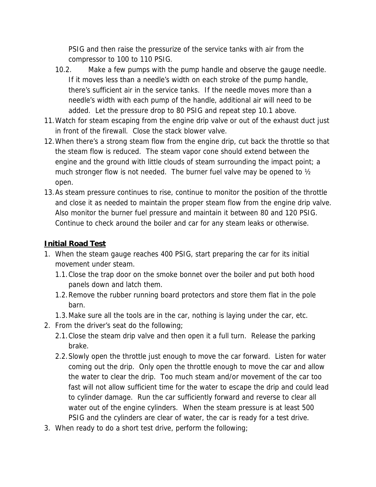PSIG and then raise the pressurize of the service tanks with air from the compressor to 100 to 110 PSIG.

- 10.2. Make a few pumps with the pump handle and observe the gauge needle. If it moves less than a needle's width on each stroke of the pump handle, there's sufficient air in the service tanks. If the needle moves more than a needle's width with each pump of the handle, additional air will need to be added. Let the pressure drop to 80 PSIG and repeat step 10.1 above.
- 11.Watch for steam escaping from the engine drip valve or out of the exhaust duct just in front of the firewall. Close the stack blower valve.
- 12.When there's a strong steam flow from the engine drip, cut back the throttle so that the steam flow is reduced. The steam vapor cone should extend between the engine and the ground with little clouds of steam surrounding the impact point; a much stronger flow is not needed. The burner fuel valve may be opened to  $\frac{1}{2}$ open.
- 13.As steam pressure continues to rise, continue to monitor the position of the throttle and close it as needed to maintain the proper steam flow from the engine drip valve. Also monitor the burner fuel pressure and maintain it between 80 and 120 PSIG. Continue to check around the boiler and car for any steam leaks or otherwise.

### **Initial Road Test**

- 1. When the steam gauge reaches 400 PSIG, start preparing the car for its initial movement under steam.
	- 1.1.Close the trap door on the smoke bonnet over the boiler and put both hood panels down and latch them.
	- 1.2.Remove the rubber running board protectors and store them flat in the pole barn.
	- 1.3.Make sure all the tools are in the car, nothing is laying under the car, etc.
- 2. From the driver's seat do the following;
	- 2.1.Close the steam drip valve and then open it a full turn. Release the parking brake.
	- 2.2.Slowly open the throttle just enough to move the car forward. Listen for water coming out the drip. Only open the throttle enough to move the car and allow the water to clear the drip. Too much steam and/or movement of the car too fast will not allow sufficient time for the water to escape the drip and could lead to cylinder damage. Run the car sufficiently forward and reverse to clear all water out of the engine cylinders. When the steam pressure is at least 500 PSIG and the cylinders are clear of water, the car is ready for a test drive.
- 3. When ready to do a short test drive, perform the following;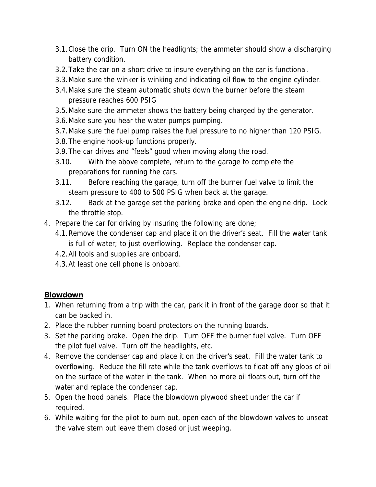- 3.1.Close the drip. Turn ON the headlights; the ammeter should show a discharging battery condition.
- 3.2.Take the car on a short drive to insure everything on the car is functional.
- 3.3.Make sure the winker is winking and indicating oil flow to the engine cylinder.
- 3.4.Make sure the steam automatic shuts down the burner before the steam pressure reaches 600 PSIG
- 3.5.Make sure the ammeter shows the battery being charged by the generator.
- 3.6.Make sure you hear the water pumps pumping.
- 3.7.Make sure the fuel pump raises the fuel pressure to no higher than 120 PSIG.
- 3.8.The engine hook-up functions properly.
- 3.9.The car drives and "feels" good when moving along the road.
- 3.10. With the above complete, return to the garage to complete the preparations for running the cars.
- 3.11. Before reaching the garage, turn off the burner fuel valve to limit the steam pressure to 400 to 500 PSIG when back at the garage.
- 3.12. Back at the garage set the parking brake and open the engine drip. Lock the throttle stop.
- 4. Prepare the car for driving by insuring the following are done;
	- 4.1.Remove the condenser cap and place it on the driver's seat. Fill the water tank is full of water; to just overflowing. Replace the condenser cap.
	- 4.2.All tools and supplies are onboard.
	- 4.3.At least one cell phone is onboard.

#### **Blowdown**

- 1. When returning from a trip with the car, park it in front of the garage door so that it can be backed in.
- 2. Place the rubber running board protectors on the running boards.
- 3. Set the parking brake. Open the drip. Turn OFF the burner fuel valve. Turn OFF the pilot fuel valve. Turn off the headlights, etc.
- 4. Remove the condenser cap and place it on the driver's seat. Fill the water tank to overflowing. Reduce the fill rate while the tank overflows to float off any globs of oil on the surface of the water in the tank. When no more oil floats out, turn off the water and replace the condenser cap.
- 5. Open the hood panels. Place the blowdown plywood sheet under the car if required.
- 6. While waiting for the pilot to burn out, open each of the blowdown valves to unseat the valve stem but leave them closed or just weeping.